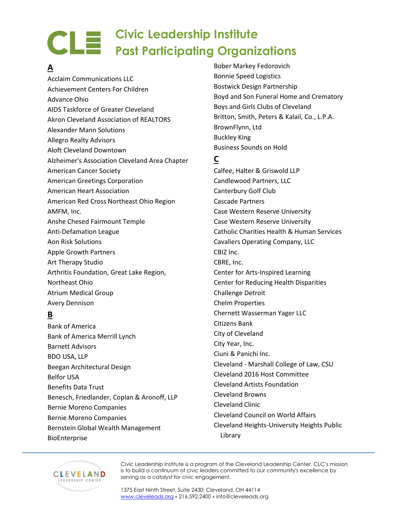# **A**

Acclaim Communications LLC Achievement Centers For Children Advance Ohio AIDS Taskforce of Greater Cleveland Akron Cleveland Association of REALTORS Alexander Mann Solutions Allegro Realty Advisors Aloft Cleveland Downtown Alzheimer's Association Cleveland Area Chapter American Cancer Society American Greetings Corporation American Heart Association American Red Cross Northeast Ohio Region AMFM, Inc. Anshe Chesed Fairmount Temple Anti-Defamation League Aon Risk Solutions Apple Growth Partners Art Therapy Studio Arthritis Foundation, Great Lake Region, Northeast Ohio Atrium Medical Group Avery Dennison

# **B**

Bank of America Bank of America Merrill Lynch Barnett Advisors BDO USA, LLP Beegan Architectural Design Belfor USA Benefits Data Trust Benesch, Friedlander, Coplan & Aronoff, LLP Bernie Moreno Companies Bernie Moreno Companies Bernstein Global Wealth Management BioEnterprise

Bober Markey Fedorovich Bonnie Speed Logistics Bostwick Design Partnership Boyd and Son Funeral Home and Crematory Boys and Girls Clubs of Cleveland Britton, Smith, Peters & Kalail, Co., L.P.A. BrownFlynn, Ltd Buckley King Business Sounds on Hold

#### **C**

Calfee, Halter & Griswold LLP Candlewood Partners, LLC Canterbury Golf Club Cascade Partners Case Western Reserve University Case Western Reserve University Catholic Charities Health & Human Services Cavaliers Operating Company, LLC CBIZ Inc. CBRE, Inc. Center for Arts-Inspired Learning Center for Reducing Health Disparities Challenge Detroit Chelm Properties Chernett Wasserman Yager LLC Citizens Bank City of Cleveland City Year, Inc. Ciuni & Panichi Inc. Cleveland - Marshall College of Law, CSU Cleveland 2016 Host Committee Cleveland Artists Foundation Cleveland Browns Cleveland Clinic Cleveland Council on World Affairs Cleveland Heights-University Heights Public Library



Civic Leadership Institute is a program of the Cleveland Leadership Center. CLC's mission is to build a continuum of civic leaders committed to our community's excellence by serving as a catalyst for civic engagement.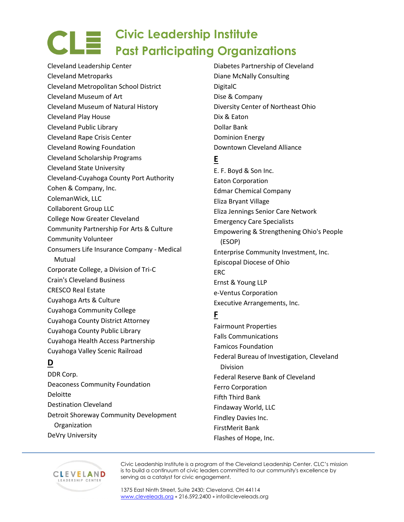Cleveland Leadership Center Cleveland Metroparks Cleveland Metropolitan School District Cleveland Museum of Art Cleveland Museum of Natural History Cleveland Play House Cleveland Public Library Cleveland Rape Crisis Center Cleveland Rowing Foundation Cleveland Scholarship Programs Cleveland State University Cleveland-Cuyahoga County Port Authority Cohen & Company, Inc. ColemanWick, LLC Collaborent Group LLC College Now Greater Cleveland Community Partnership For Arts & Culture Community Volunteer Consumers Life Insurance Company - Medical Mutual Corporate College, a Division of Tri-C Crain's Cleveland Business CRESCO Real Estate Cuyahoga Arts & Culture Cuyahoga Community College Cuyahoga County District Attorney Cuyahoga County Public Library Cuyahoga Health Access Partnership Cuyahoga Valley Scenic Railroad

# **D**

DDR Corp. Deaconess Community Foundation Deloitte Destination Cleveland Detroit Shoreway Community Development **Organization** DeVry University

Diabetes Partnership of Cleveland Diane McNally Consulting DigitalC Dise & Company Diversity Center of Northeast Ohio Dix & Eaton Dollar Bank Dominion Energy Downtown Cleveland Alliance

#### **E**

E. F. Boyd & Son Inc. Eaton Corporation Edmar Chemical Company Eliza Bryant Village Eliza Jennings Senior Care Network Emergency Care Specialists Empowering & Strengthening Ohio's People (ESOP) Enterprise Community Investment, Inc. Episcopal Diocese of Ohio ERC Ernst & Young LLP e-Ventus Corporation Executive Arrangements, Inc.

#### **F**

Fairmount Properties Falls Communications Famicos Foundation Federal Bureau of Investigation, Cleveland Division Federal Reserve Bank of Cleveland Ferro Corporation Fifth Third Bank Findaway World, LLC Findley Davies Inc. FirstMerit Bank Flashes of Hope, Inc.



Civic Leadership Institute is a program of the Cleveland Leadership Center. CLC's mission is to build a continuum of civic leaders committed to our community's excellence by serving as a catalyst for civic engagement.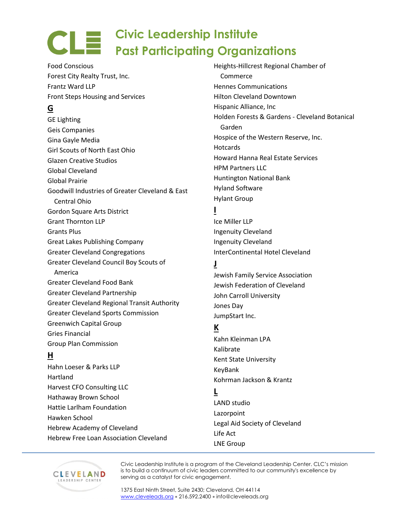Food Conscious Forest City Realty Trust, Inc. Frantz Ward LLP Front Steps Housing and Services

# **G**

GE Lighting Geis Companies Gina Gayle Media Girl Scouts of North East Ohio Glazen Creative Studios Global Cleveland Global Prairie Goodwill Industries of Greater Cleveland & East Central Ohio Gordon Square Arts District Grant Thornton LLP Grants Plus Great Lakes Publishing Company Greater Cleveland Congregations Greater Cleveland Council Boy Scouts of America Greater Cleveland Food Bank Greater Cleveland Partnership Greater Cleveland Regional Transit Authority Greater Cleveland Sports Commission Greenwich Capital Group Gries Financial Group Plan Commission

#### **H**

Hahn Loeser & Parks LLP Hartland Harvest CFO Consulting LLC Hathaway Brown School Hattie Larlham Foundation Hawken School Hebrew Academy of Cleveland Hebrew Free Loan Association Cleveland Heights-Hillcrest Regional Chamber of **Commerce** Hennes Communications Hilton Cleveland Downtown Hispanic Alliance, Inc Holden Forests & Gardens - Cleveland Botanical Garden Hospice of the Western Reserve, Inc. **Hotcards** Howard Hanna Real Estate Services HPM Partners LLC Huntington National Bank Hyland Software Hylant Group

#### **I**

Ice Miller LLP Ingenuity Cleveland Ingenuity Cleveland InterContinental Hotel Cleveland

#### **J**

Jewish Family Service Association Jewish Federation of Cleveland John Carroll University Jones Day JumpStart Inc.

#### **K**

Kahn Kleinman LPA Kalibrate Kent State University KeyBank Kohrman Jackson & Krantz

#### **L**

LAND studio Lazorpoint Legal Aid Society of Cleveland Life Act LNE Group



Civic Leadership Institute is a program of the Cleveland Leadership Center. CLC's mission is to build a continuum of civic leaders committed to our community's excellence by serving as a catalyst for civic engagement.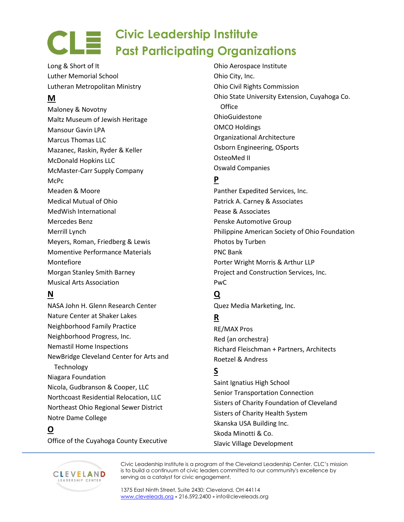Long & Short of It Luther Memorial School Lutheran Metropolitan Ministry

# **M**

Maloney & Novotny Maltz Museum of Jewish Heritage Mansour Gavin LPA Marcus Thomas LLC Mazanec, Raskin, Ryder & Keller McDonald Hopkins LLC McMaster-Carr Supply Company McPc Meaden & Moore Medical Mutual of Ohio MedWish International Mercedes Benz Merrill Lynch Meyers, Roman, Friedberg & Lewis Momentive Performance Materials Montefiore Morgan Stanley Smith Barney Musical Arts Association

#### **N**

NASA John H. Glenn Research Center Nature Center at Shaker Lakes Neighborhood Family Practice Neighborhood Progress, Inc. Nemastil Home Inspections NewBridge Cleveland Center for Arts and **Technology** Niagara Foundation Nicola, Gudbranson & Cooper, LLC Northcoast Residential Relocation, LLC Northeast Ohio Regional Sewer District Notre Dame College

# **O**

Office of the Cuyahoga County Executive

Ohio Aerospace Institute Ohio City, Inc. Ohio Civil Rights Commission Ohio State University Extension, Cuyahoga Co. **Office** OhioGuidestone OMCO Holdings Organizational Architecture Osborn Engineering, OSports OsteoMed II Oswald Companies

# **P**

Panther Expedited Services, Inc. Patrick A. Carney & Associates Pease & Associates Penske Automotive Group Philippine American Society of Ohio Foundation Photos by Turben PNC Bank Porter Wright Morris & Arthur LLP Project and Construction Services, Inc. PwC

#### **Q**

Quez Media Marketing, Inc.

# **R**

RE/MAX Pros Red {an orchestra} Richard Fleischman + Partners, Architects Roetzel & Andress

# **S**

Saint Ignatius High School Senior Transportation Connection Sisters of Charity Foundation of Cleveland Sisters of Charity Health System Skanska USA Building Inc. Skoda Minotti & Co. Slavic Village Development



Civic Leadership Institute is a program of the Cleveland Leadership Center. CLC's mission is to build a continuum of civic leaders committed to our community's excellence by serving as a catalyst for civic engagement.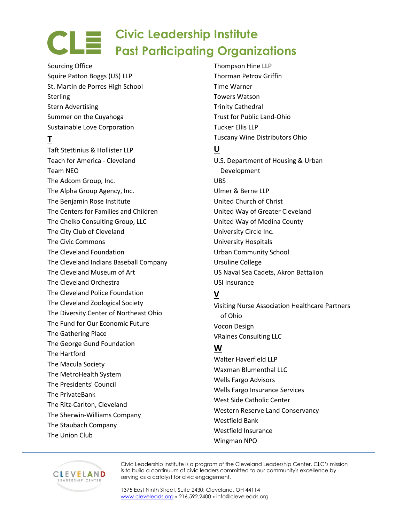Sourcing Office Squire Patton Boggs (US) LLP St. Martin de Porres High School Sterling Stern Advertising Summer on the Cuyahoga Sustainable Love Corporation

# **T**

Taft Stettinius & Hollister LLP Teach for America - Cleveland Team NEO The Adcom Group, Inc. The Alpha Group Agency, Inc. The Benjamin Rose Institute The Centers for Families and Children The Chelko Consulting Group, LLC The City Club of Cleveland The Civic Commons The Cleveland Foundation The Cleveland Indians Baseball Company The Cleveland Museum of Art The Cleveland Orchestra The Cleveland Police Foundation The Cleveland Zoological Society The Diversity Center of Northeast Ohio The Fund for Our Economic Future The Gathering Place The George Gund Foundation The Hartford The Macula Society The MetroHealth System The Presidents' Council The PrivateBank The Ritz-Carlton, Cleveland The Sherwin-Williams Company The Staubach Company The Union Club

Thompson Hine LLP Thorman Petrov Griffin Time Warner Towers Watson Trinity Cathedral Trust for Public Land-Ohio Tucker Ellis LLP Tuscany Wine Distributors Ohio

#### **U**

U.S. Department of Housing & Urban Development UBS Ulmer & Berne LLP United Church of Christ United Way of Greater Cleveland United Way of Medina County University Circle Inc. University Hospitals Urban Community School Ursuline College US Naval Sea Cadets, Akron Battalion USI Insurance

#### **V**

Visiting Nurse Association Healthcare Partners of Ohio Vocon Design VRaines Consulting LLC

#### **W**

Walter Haverfield LLP Waxman Blumenthal LLC Wells Fargo Advisors Wells Fargo Insurance Services West Side Catholic Center Western Reserve Land Conservancy Westfield Bank Westfield Insurance Wingman NPO



Civic Leadership Institute is a program of the Cleveland Leadership Center. CLC's mission is to build a continuum of civic leaders committed to our community's excellence by serving as a catalyst for civic engagement.